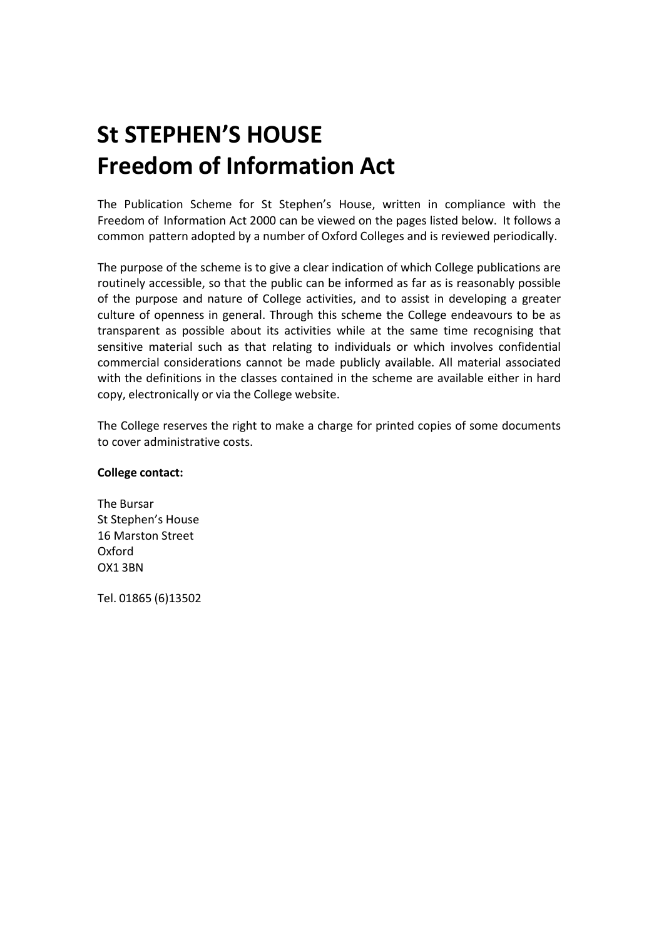## **St STEPHEN'S HOUSE Freedom of Information Act**

The Publication Scheme for St Stephen's House, written in compliance with the Freedom of Information Act 2000 can be viewed on the pages listed below. It follows a common pattern adopted by a number of Oxford Colleges and is reviewed periodically.

The purpose of the scheme is to give a clear indication of which College publications are routinely accessible, so that the public can be informed as far as is reasonably possible of the purpose and nature of College activities, and to assist in developing a greater culture of openness in general. Through this scheme the College endeavours to be as transparent as possible about its activities while at the same time recognising that sensitive material such as that relating to individuals or which involves confidential commercial considerations cannot be made publicly available. All material associated with the definitions in the classes contained in the scheme are available either in hard copy, electronically or via the College website.

The College reserves the right to make a charge for printed copies of some documents to cover administrative costs.

## **College contact:**

The Bursar St Stephen's House 16 Marston Street Oxford OX1 3BN

Tel. 01865 (6)13502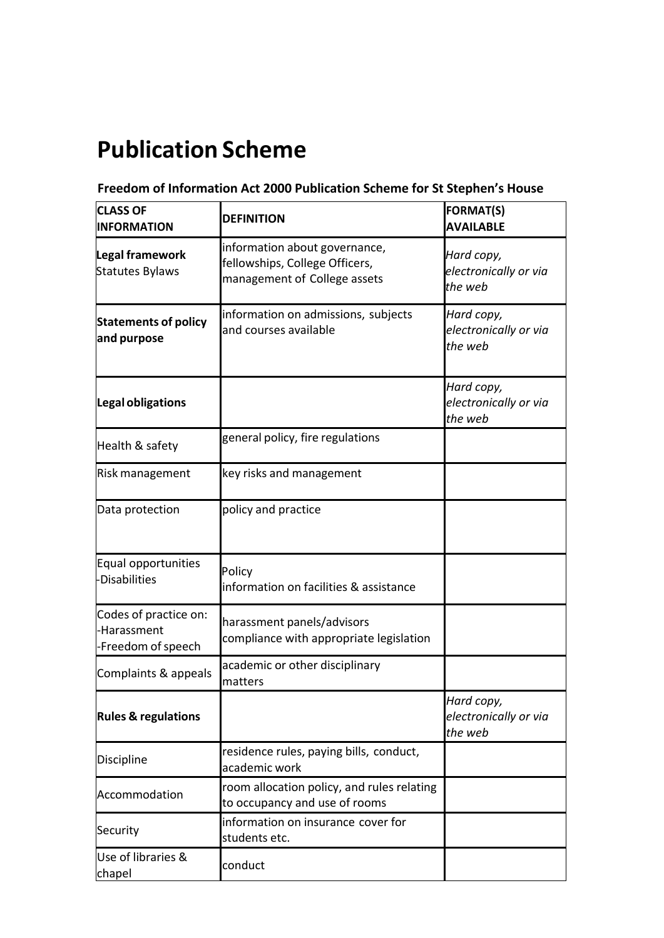## **Publication Scheme**

## **Freedom of Information Act 2000 Publication Scheme for St Stephen's House**

| <b>CLASS OF</b><br><b>INFORMATION</b>                      | <b>DEFINITION</b>                                                                               | <b>FORMAT(S)</b><br><b>AVAILABLE</b>           |
|------------------------------------------------------------|-------------------------------------------------------------------------------------------------|------------------------------------------------|
| Legal framework<br><b>Statutes Bylaws</b>                  | information about governance,<br>fellowships, College Officers,<br>management of College assets | Hard copy,<br>electronically or via<br>the web |
| <b>Statements of policy</b><br>and purpose                 | information on admissions, subjects<br>and courses available                                    | Hard copy,<br>electronically or via<br>the web |
| Legal obligations                                          |                                                                                                 | Hard copy,<br>electronically or via<br>the web |
| Health & safety                                            | general policy, fire regulations                                                                |                                                |
| Risk management                                            | key risks and management                                                                        |                                                |
| Data protection                                            | policy and practice                                                                             |                                                |
| Equal opportunities<br>-Disabilities                       | Policy<br>information on facilities & assistance                                                |                                                |
| Codes of practice on:<br>-Harassment<br>-Freedom of speech | harassment panels/advisors<br>compliance with appropriate legislation                           |                                                |
| Complaints & appeals                                       | academic or other disciplinary<br>matters                                                       |                                                |
| <b>Rules &amp; regulations</b>                             |                                                                                                 | Hard copy,<br>electronically or via<br>the web |
| Discipline                                                 | residence rules, paying bills, conduct,<br>academic work                                        |                                                |
| Accommodation                                              | room allocation policy, and rules relating<br>to occupancy and use of rooms                     |                                                |
| Security                                                   | information on insurance cover for<br>students etc.                                             |                                                |
| Use of libraries &<br>chapel                               | conduct                                                                                         |                                                |